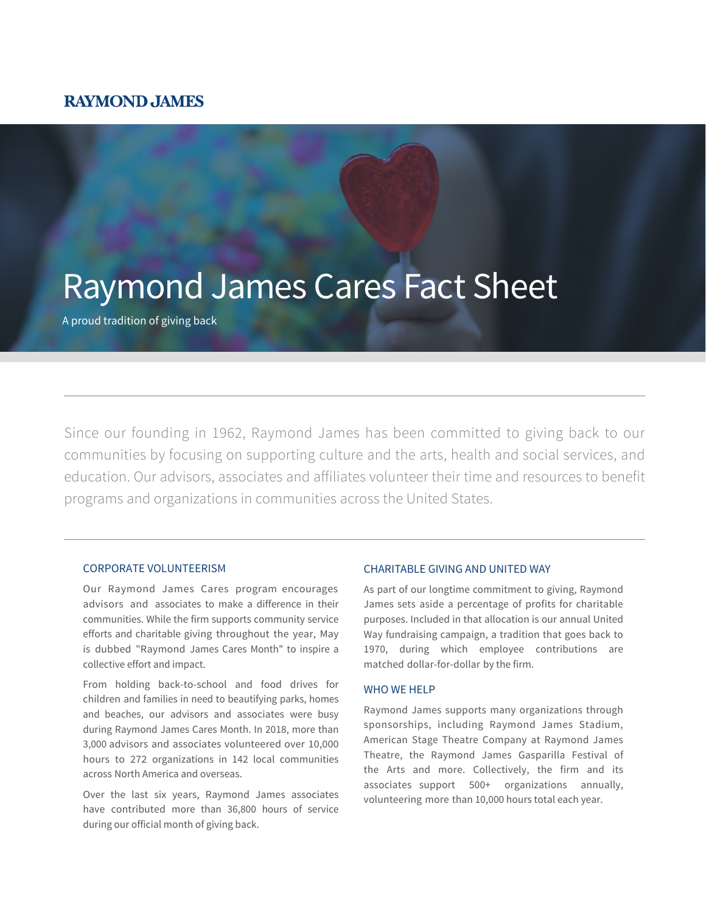## **RAYMOND JAMES**

# Raymond James Cares Fact Sheet

A proud tradition of giving back

Since our founding in 1962, Raymond James has been committed to giving back to our communities by focusing on supporting culture and the arts, health and social services, and education. Our advisors, associates and affiliates volunteer their time and resources to benefit programs and organizations in communities across the United States.

#### CORPORATE VOLUNTEERISM

Our Raymond James Cares program encourages advisors and associates to make a difference in their communities. While the firm supports community service efforts and charitable giving throughout the year, May is dubbed "Raymond James Cares Month" to inspire a collective effort and impact.

From holding back-to-school and food drives for children and families in need to beautifying parks, homes and beaches, our advisors and associates were busy during Raymond James Cares Month. In 2018, more than 3,000 advisors and associates volunteered over 10,000 hours to 272 organizations in 142 local communities across North America and overseas.

Over the last six years, Raymond James associates have contributed more than 36,800 hours of service during our official month of giving back.

#### CHARITABLE GIVING AND UNITED WAY

As part of our longtime commitment to giving, Raymond James sets aside a percentage of profits for charitable purposes. Included in that allocation is our annual United Way fundraising campaign, a tradition that goes back to 1970, during which employee contributions are matched dollar-for-dollar by the firm.

#### WHO WF HFLP

Raymond James supports many organizations through sponsorships, including Raymond James Stadium, American Stage Theatre Company at Raymond James Theatre, the Raymond James Gasparilla Festival of the Arts and more. Collectively, the firm and its associates support 500+ organizations annually, volunteering more than 10,000 hours total each year.